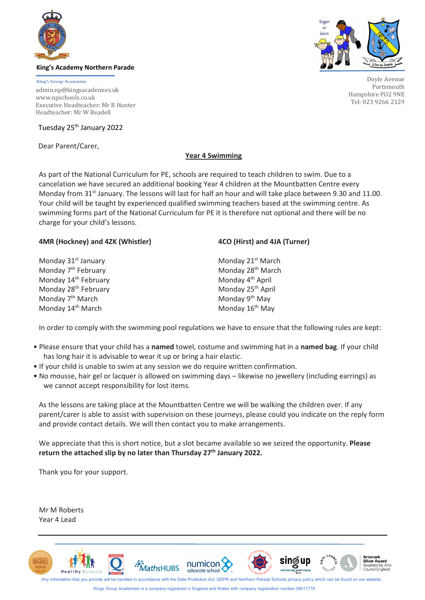

### **King's Academy Northern Parade**

**King's Group Academies** admin.np@kingsacademies.uk [www.npschools.co.uk](http://www.npschools.co.uk/parents/letters/) Executive Headteacher: Mr R Hunter Headteacher: Mr W Beadell

Tuesday 25<sup>th</sup> January 2022

Dear Parent/Carer,



Doyle Avenue Portsmouth Hampshire PO2 9NE Tel: 023 9266 2129

## **Year 4 Swimming**

As part of the National Curriculum for PE, schools are required to teach children to swim. Due to a cancelation we have secured an additional booking Year 4 children at the Mountbatten Centre every Monday from 31<sup>st</sup> January. The lessons will last for half an hour and will take place between 9.30 and 11.00. Your child will be taught by experienced qualified swimming teachers based at the swimming centre. As swimming forms part of the National Curriculum for PE it is therefore not optional and there will be no charge for your child's lessons.

## **4MR (Hockney) and 4ZK (Whistler) 4CO (Hirst) and 4JA (Turner)**

Monday 31<sup>st</sup> January Monday 21<sup>st</sup> March Monday  $7<sup>th</sup>$  February Monday 28<sup>th</sup> March Monday 14<sup>th</sup> February **Monday 4<sup>th</sup> April**<br>Monday 28<sup>th</sup> February **Monday 25th** April Monday 28<sup>th</sup> February Monday  $7<sup>th</sup>$  March Monday 9<sup>th</sup> May Monday  $14^{\text{th}}$  March Monday  $16^{\text{th}}$  May

In order to comply with the swimming pool regulations we have to ensure that the following rules are kept:

- Please ensure that your child has a **named** towel, costume and swimming hat in a **named bag**. If your child has long hair it is advisable to wear it up or bring a hair elastic.
- If your child is unable to swim at any session we do require written confirmation.
- No mousse, hair gel or lacquer is allowed on swimming days likewise no jewellery (including earrings) as we cannot accept responsibility for lost items.

As the lessons are taking place at the Mountbatten Centre we will be walking the children over. If any parent/carer is able to assist with supervision on these journeys, please could you indicate on the reply form and provide contact details. We will then contact you to make arrangements.

We appreciate that this is short notice, but a slot became available so we seized the opportunity. **Please**  return the attached slip by no later than Thursday 27<sup>th</sup> January 2022.

Thank you for your support.

Mr M Roberts Year 4 Lead



Kings Group Academies is a company registered in England and Wales with company registration number 09017776.